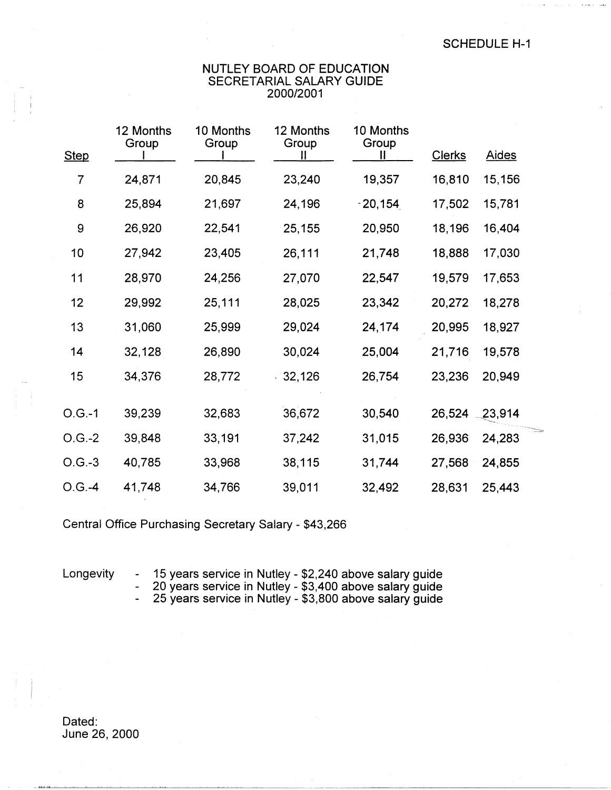## NUTLEY BOARD OF EDUCATION SECRETARIAL SALARY GUIDE 2000/2001

| <b>Step</b> | 12 Months<br>Group | 10 Months<br>Group | 12 Months<br>Group | 10 Months<br>Group<br>Ш | <b>Clerks</b> | <b>Aides</b> |  |
|-------------|--------------------|--------------------|--------------------|-------------------------|---------------|--------------|--|
| 7           | 24,871             | 20,845             | 23,240             | 19,357                  | 16,810        | 15,156       |  |
| 8           | 25,894             | 21,697             | 24,196             | $-20,154$               | 17,502        | 15,781       |  |
| 9           | 26,920             | 22,541             | 25,155             | 20,950                  | 18,196        | 16,404       |  |
| 10          | 27,942             | 23,405             | 26,111             | 21,748                  | 18,888        | 17,030       |  |
| 11          | 28,970             | 24,256             | 27,070             | 22,547                  | 19,579        | 17,653       |  |
| 12          | 29,992             | 25,111             | 28,025             | 23,342                  | 20,272        | 18,278       |  |
| 13          | 31,060             | 25,999             | 29,024             | 24,174                  | 20,995        | 18,927       |  |
| 14          | 32,128             | 26,890             | 30,024             | 25,004                  | 21,716        | 19,578       |  |
| 15          | 34,376             | 28,772             | 32,126             | 26,754                  | 23,236        | 20,949       |  |
| $O.G.-1$    | 39,239             | 32,683             | 36,672             | 30,540                  | 26,524        | 23,914       |  |
| $O.G.-2$    | 39,848             | 33,191             | 37,242             | 31,015                  | 26,936        | 24,283       |  |
| $O.G.-3$    | 40,785             | 33,968             | 38,115             | 31,744                  | 27,568        | 24,855       |  |
| $O.G. -4$   | 41,748             | 34,766             | 39,011             | 32,492                  | 28,631        | 25,443       |  |

Central Office Purchasing Secretary Salary - \$43,266

Longevity - 15 years service in Nutley - \$2,240 above salary guide - 20 years service in Nutley - \$3,400 above salary guide

- 25 years service in Nutley - \$3,800 above salary guide

Dated: June 26, 2000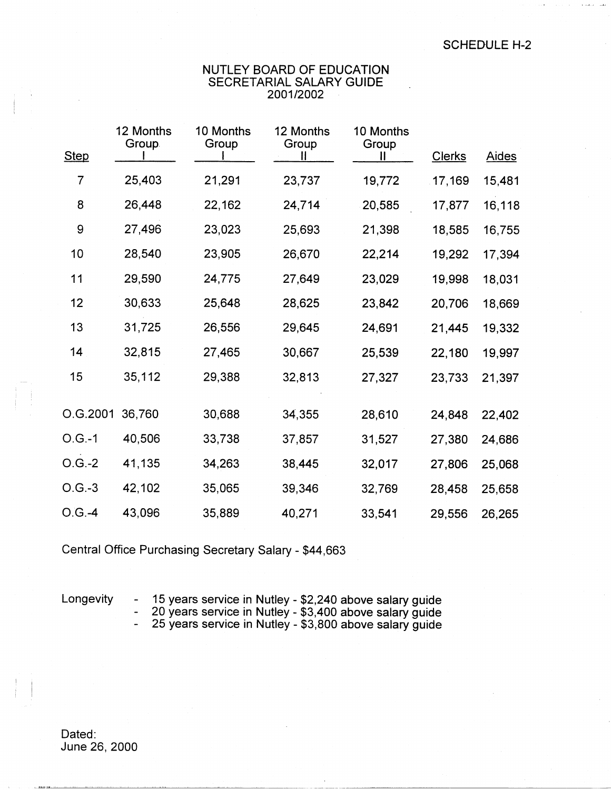## NUTLEY BOARD OF EDUCATION SECRETARIAL SALARY GUIDE 2001/2002

| <b>Step</b> | 12 Months<br>Group. | 10 Months<br>Group | 12 Months<br>Group | 10 Months<br>Group<br>Н | <b>Clerks</b> | <b>Aides</b> |
|-------------|---------------------|--------------------|--------------------|-------------------------|---------------|--------------|
| 7           | 25,403              | 21,291             | 23,737             | 19,772                  | 17,169        | 15,481       |
| 8           | 26,448              | 22,162             | 24,714             | 20,585                  | 17,877        | 16,118       |
| 9           | 27,496              | 23,023             | 25,693             | 21,398                  | 18,585        | 16,755       |
| 10          | 28,540              | 23,905             | 26,670             | 22,214                  | 19,292        | 17,394       |
| 11          | 29,590              | 24,775             | 27,649             | 23,029                  | 19,998        | 18,031       |
| 12          | 30,633              | 25,648             | 28,625             | 23,842                  | 20,706        | 18,669       |
| 13          | 31,725              | 26,556             | 29,645             | 24,691                  | 21,445        | 19,332       |
| 14          | 32,815              | 27,465             | 30,667             | 25,539                  | 22,180        | 19,997       |
| 15          | 35,112              | 29,388             | 32,813             | 27,327                  | 23,733        | 21,397       |
| O.G.2001    | 36,760              | 30,688             | 34,355             | 28,610                  | 24,848        | 22,402       |
| $O.G.-1$    | 40,506              | 33,738             | 37,857             | 31,527                  | 27,380        | 24,686       |
| $O.G.-2$    | 41,135              | 34,263             | 38,445             | 32,017                  | 27,806        | 25,068       |
| $O.G.-3$    | 42,102              | 35,065             | 39,346             | 32,769                  | 28,458        | 25,658       |
| $O.G. -4$   | 43,096              | 35,889             | 40,271             | 33,541                  | 29,556        | 26,265       |

Central Office Purchasing Secretary Salary - \$44,663

! !

Longevity - 15 years service in Nutley - \$2,240 above salary guide

- 20 years service in Nutley - \$3,400 above salary guide

- 25 years service in Nutley - \$3,800 above salary guide

Dated: June 26, 2000